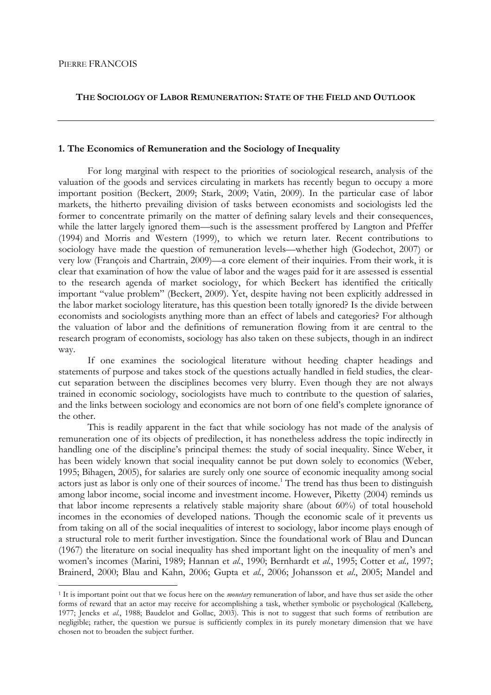$\overline{a}$ 

# **THE SOCIOLOGY OF LABOR REMUNERATION: STATE OF THE FIELD AND OUTLOOK**

# **1. The Economics of Remuneration and the Sociology of Inequality**

For long marginal with respect to the priorities of sociological research, analysis of the valuation of the goods and services circulating in markets has recently begun to occupy a more important position (Beckert, 2009; Stark, 2009; Vatin, 2009). In the particular case of labor markets, the hitherto prevailing division of tasks between economists and sociologists led the former to concentrate primarily on the matter of defining salary levels and their consequences, while the latter largely ignored them—such is the assessment proffered by Langton and Pfeffer (1994) and Morris and Western (1999), to which we return later. Recent contributions to sociology have made the question of remuneration levels—whether high (Godechot, 2007) or very low (François and Chartrain, 2009)—a core element of their inquiries. From their work, it is clear that examination of how the value of labor and the wages paid for it are assessed is essential to the research agenda of market sociology, for which Beckert has identified the critically important "value problem" (Beckert, 2009). Yet, despite having not been explicitly addressed in the labor market sociology literature, has this question been totally ignored? Is the divide between economists and sociologists anything more than an effect of labels and categories? For although the valuation of labor and the definitions of remuneration flowing from it are central to the research program of economists, sociology has also taken on these subjects, though in an indirect way.

 If one examines the sociological literature without heeding chapter headings and statements of purpose and takes stock of the questions actually handled in field studies, the clearcut separation between the disciplines becomes very blurry. Even though they are not always trained in economic sociology, sociologists have much to contribute to the question of salaries, and the links between sociology and economics are not born of one field's complete ignorance of the other.

 This is readily apparent in the fact that while sociology has not made of the analysis of remuneration one of its objects of predilection, it has nonetheless address the topic indirectly in handling one of the discipline's principal themes: the study of social inequality. Since Weber, it has been widely known that social inequality cannot be put down solely to economics (Weber, 1995; Bihagen, 2005), for salaries are surely only one source of economic inequality among social actors just as labor is only one of their sources of income.<sup>1</sup> The trend has thus been to distinguish among labor income, social income and investment income. However, Piketty (2004) reminds us that labor income represents a relatively stable majority share (about 60%) of total household incomes in the economies of developed nations. Though the economic scale of it prevents us from taking on all of the social inequalities of interest to sociology, labor income plays enough of a structural role to merit further investigation. Since the foundational work of Blau and Duncan (1967) the literature on social inequality has shed important light on the inequality of men's and women's incomes (Marini, 1989; Hannan et *al.*, 1990; Bernhardt et *al.*, 1995; Cotter et *al.,* 1997; Brainerd, 2000; Blau and Kahn, 2006; Gupta et *al.*, 2006; Johansson et *al*., 2005; Mandel and

<sup>1</sup> It is important point out that we focus here on the *monetary* remuneration of labor, and have thus set aside the other forms of reward that an actor may receive for accomplishing a task, whether symbolic or psychological (Kalleberg, 1977; Jencks et *al.*, 1988; Baudelot and Gollac, 2003). This is not to suggest that such forms of retribution are negligible; rather, the question we pursue is sufficiently complex in its purely monetary dimension that we have chosen not to broaden the subject further.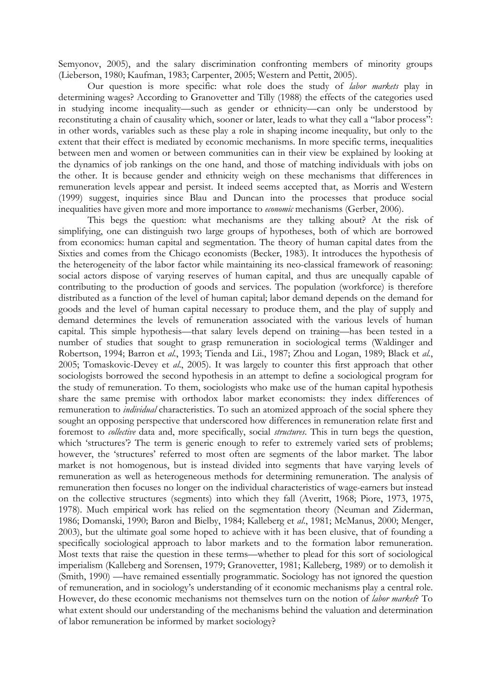Semyonov, 2005), and the salary discrimination confronting members of minority groups (Lieberson, 1980; Kaufman, 1983; Carpenter, 2005; Western and Pettit, 2005).

 Our question is more specific: what role does the study of *labor markets* play in determining wages? According to Granovetter and Tilly (1988) the effects of the categories used in studying income inequality—such as gender or ethnicity—can only be understood by reconstituting a chain of causality which, sooner or later, leads to what they call a "labor process": in other words, variables such as these play a role in shaping income inequality, but only to the extent that their effect is mediated by economic mechanisms. In more specific terms, inequalities between men and women or between communities can in their view be explained by looking at the dynamics of job rankings on the one hand, and those of matching individuals with jobs on the other. It is because gender and ethnicity weigh on these mechanisms that differences in remuneration levels appear and persist. It indeed seems accepted that, as Morris and Western (1999) suggest, inquiries since Blau and Duncan into the processes that produce social inequalities have given more and more importance to *economic* mechanisms (Gerber, 2006).

 This begs the question: what mechanisms are they talking about? At the risk of simplifying, one can distinguish two large groups of hypotheses, both of which are borrowed from economics: human capital and segmentation. The theory of human capital dates from the Sixties and comes from the Chicago economists (Becker, 1983). It introduces the hypothesis of the heterogeneity of the labor factor while maintaining its neo-classical framework of reasoning: social actors dispose of varying reserves of human capital, and thus are unequally capable of contributing to the production of goods and services. The population (workforce) is therefore distributed as a function of the level of human capital; labor demand depends on the demand for goods and the level of human capital necessary to produce them, and the play of supply and demand determines the levels of remuneration associated with the various levels of human capital. This simple hypothesis—that salary levels depend on training—has been tested in a number of studies that sought to grasp remuneration in sociological terms (Waldinger and Robertson, 1994; Barron et *al.*, 1993; Tienda and Lii., 1987; Zhou and Logan, 1989; Black et *al.*, 2005; Tomaskovic-Devey et *al*., 2005). It was largely to counter this first approach that other sociologists borrowed the second hypothesis in an attempt to define a sociological program for the study of remuneration. To them, sociologists who make use of the human capital hypothesis share the same premise with orthodox labor market economists: they index differences of remuneration to *individual* characteristics. To such an atomized approach of the social sphere they sought an opposing perspective that underscored how differences in remuneration relate first and foremost to *collective* data and, more specifically, social *structures*. This in turn begs the question, which 'structures'? The term is generic enough to refer to extremely varied sets of problems; however, the 'structures' referred to most often are segments of the labor market. The labor market is not homogenous, but is instead divided into segments that have varying levels of remuneration as well as heterogeneous methods for determining remuneration. The analysis of remuneration then focuses no longer on the individual characteristics of wage-earners but instead on the collective structures (segments) into which they fall (Averitt, 1968; Piore, 1973, 1975, 1978). Much empirical work has relied on the segmentation theory (Neuman and Ziderman, 1986; Domanski, 1990; Baron and Bielby, 1984; Kalleberg et *al*., 1981; McManus, 2000; Menger, 2003), but the ultimate goal some hoped to achieve with it has been elusive, that of founding a specifically sociological approach to labor markets and to the formation labor remuneration. Most texts that raise the question in these terms—whether to plead for this sort of sociological imperialism (Kalleberg and Sorensen, 1979; Granovetter, 1981; Kalleberg, 1989) or to demolish it (Smith, 1990) —have remained essentially programmatic. Sociology has not ignored the question of remuneration, and in sociology's understanding of it economic mechanisms play a central role. However, do these economic mechanisms not themselves turn on the notion of *labor market*? To what extent should our understanding of the mechanisms behind the valuation and determination of labor remuneration be informed by market sociology?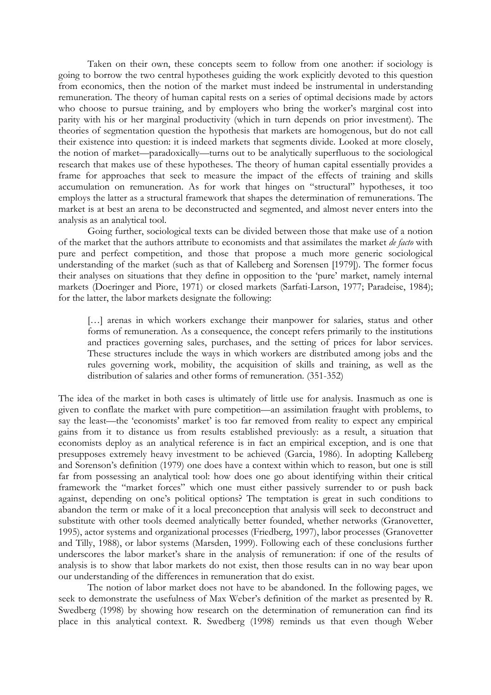Taken on their own, these concepts seem to follow from one another: if sociology is going to borrow the two central hypotheses guiding the work explicitly devoted to this question from economics, then the notion of the market must indeed be instrumental in understanding remuneration. The theory of human capital rests on a series of optimal decisions made by actors who choose to pursue training, and by employers who bring the worker's marginal cost into parity with his or her marginal productivity (which in turn depends on prior investment). The theories of segmentation question the hypothesis that markets are homogenous, but do not call their existence into question: it is indeed markets that segments divide. Looked at more closely, the notion of market—paradoxically—turns out to be analytically superfluous to the sociological research that makes use of these hypotheses. The theory of human capital essentially provides a frame for approaches that seek to measure the impact of the effects of training and skills accumulation on remuneration. As for work that hinges on "structural" hypotheses, it too employs the latter as a structural framework that shapes the determination of remunerations. The market is at best an arena to be deconstructed and segmented, and almost never enters into the analysis as an analytical tool.

 Going further, sociological texts can be divided between those that make use of a notion of the market that the authors attribute to economists and that assimilates the market *de facto* with pure and perfect competition, and those that propose a much more generic sociological understanding of the market (such as that of Kalleberg and Sorensen [1979]). The former focus their analyses on situations that they define in opposition to the 'pure' market, namely internal markets (Doeringer and Piore, 1971) or closed markets (Sarfati-Larson, 1977; Paradeise, 1984); for the latter, the labor markets designate the following:

[...] arenas in which workers exchange their manpower for salaries, status and other forms of remuneration. As a consequence, the concept refers primarily to the institutions and practices governing sales, purchases, and the setting of prices for labor services. These structures include the ways in which workers are distributed among jobs and the rules governing work, mobility, the acquisition of skills and training, as well as the distribution of salaries and other forms of remuneration. (351-352)

The idea of the market in both cases is ultimately of little use for analysis. Inasmuch as one is given to conflate the market with pure competition—an assimilation fraught with problems, to say the least—the 'economists' market' is too far removed from reality to expect any empirical gains from it to distance us from results established previously: as a result, a situation that economists deploy as an analytical reference is in fact an empirical exception, and is one that presupposes extremely heavy investment to be achieved (Garcia, 1986). In adopting Kalleberg and Sorenson's definition (1979) one does have a context within which to reason, but one is still far from possessing an analytical tool: how does one go about identifying within their critical framework the "market forces" which one must either passively surrender to or push back against, depending on one's political options? The temptation is great in such conditions to abandon the term or make of it a local preconception that analysis will seek to deconstruct and substitute with other tools deemed analytically better founded, whether networks (Granovetter, 1995), actor systems and organizational processes (Friedberg, 1997), labor processes (Granovetter and Tilly, 1988), or labor systems (Marsden, 1999). Following each of these conclusions further underscores the labor market's share in the analysis of remuneration: if one of the results of analysis is to show that labor markets do not exist, then those results can in no way bear upon our understanding of the differences in remuneration that do exist.

 The notion of labor market does not have to be abandoned. In the following pages, we seek to demonstrate the usefulness of Max Weber's definition of the market as presented by R. Swedberg (1998) by showing how research on the determination of remuneration can find its place in this analytical context. R. Swedberg (1998) reminds us that even though Weber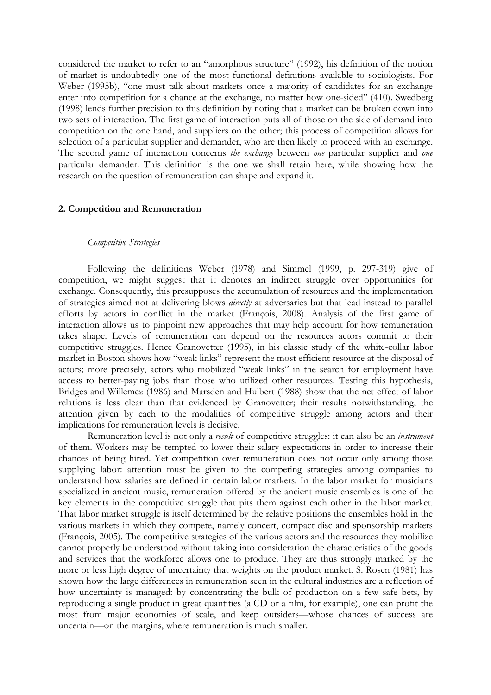considered the market to refer to an "amorphous structure" (1992), his definition of the notion of market is undoubtedly one of the most functional definitions available to sociologists. For Weber (1995b), "one must talk about markets once a majority of candidates for an exchange enter into competition for a chance at the exchange, no matter how one-sided" (410). Swedberg (1998) lends further precision to this definition by noting that a market can be broken down into two sets of interaction. The first game of interaction puts all of those on the side of demand into competition on the one hand, and suppliers on the other; this process of competition allows for selection of a particular supplier and demander, who are then likely to proceed with an exchange. The second game of interaction concerns *the exchange* between *one* particular supplier and *one*  particular demander. This definition is the one we shall retain here, while showing how the research on the question of remuneration can shape and expand it.

### **2. Competition and Remuneration**

# *Competitive Strategies*

Following the definitions Weber (1978) and Simmel (1999, p. 297-319) give of competition, we might suggest that it denotes an indirect struggle over opportunities for exchange. Consequently, this presupposes the accumulation of resources and the implementation of strategies aimed not at delivering blows *directly* at adversaries but that lead instead to parallel efforts by actors in conflict in the market (François, 2008). Analysis of the first game of interaction allows us to pinpoint new approaches that may help account for how remuneration takes shape. Levels of remuneration can depend on the resources actors commit to their competitive struggles. Hence Granovetter (1995), in his classic study of the white-collar labor market in Boston shows how "weak links" represent the most efficient resource at the disposal of actors; more precisely, actors who mobilized "weak links" in the search for employment have access to better-paying jobs than those who utilized other resources. Testing this hypothesis, Bridges and Willemez (1986) and Marsden and Hulbert (1988) show that the net effect of labor relations is less clear than that evidenced by Granovetter; their results notwithstanding, the attention given by each to the modalities of competitive struggle among actors and their implications for remuneration levels is decisive.

Remuneration level is not only a *result* of competitive struggles: it can also be an *instrument* of them. Workers may be tempted to lower their salary expectations in order to increase their chances of being hired. Yet competition over remuneration does not occur only among those supplying labor: attention must be given to the competing strategies among companies to understand how salaries are defined in certain labor markets. In the labor market for musicians specialized in ancient music, remuneration offered by the ancient music ensembles is one of the key elements in the competitive struggle that pits them against each other in the labor market. That labor market struggle is itself determined by the relative positions the ensembles hold in the various markets in which they compete, namely concert, compact disc and sponsorship markets (François, 2005). The competitive strategies of the various actors and the resources they mobilize cannot properly be understood without taking into consideration the characteristics of the goods and services that the workforce allows one to produce. They are thus strongly marked by the more or less high degree of uncertainty that weights on the product market. S. Rosen (1981) has shown how the large differences in remuneration seen in the cultural industries are a reflection of how uncertainty is managed: by concentrating the bulk of production on a few safe bets, by reproducing a single product in great quantities (a CD or a film, for example), one can profit the most from major economies of scale, and keep outsiders—whose chances of success are uncertain—on the margins, where remuneration is much smaller.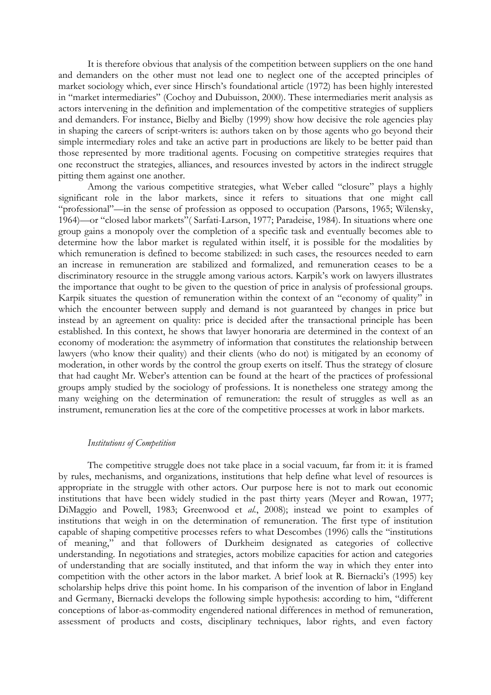It is therefore obvious that analysis of the competition between suppliers on the one hand and demanders on the other must not lead one to neglect one of the accepted principles of market sociology which, ever since Hirsch's foundational article (1972) has been highly interested in "market intermediaries" (Cochoy and Dubuisson, 2000). These intermediaries merit analysis as actors intervening in the definition and implementation of the competitive strategies of suppliers and demanders. For instance, Bielby and Bielby (1999) show how decisive the role agencies play in shaping the careers of script-writers is: authors taken on by those agents who go beyond their simple intermediary roles and take an active part in productions are likely to be better paid than those represented by more traditional agents. Focusing on competitive strategies requires that one reconstruct the strategies, alliances, and resources invested by actors in the indirect struggle pitting them against one another.

Among the various competitive strategies, what Weber called "closure" plays a highly significant role in the labor markets, since it refers to situations that one might call "professional"—in the sense of profession as opposed to occupation (Parsons, 1965; Wilensky, 1964)—or "closed labor markets"( Sarfati-Larson, 1977; Paradeise, 1984). In situations where one group gains a monopoly over the completion of a specific task and eventually becomes able to determine how the labor market is regulated within itself, it is possible for the modalities by which remuneration is defined to become stabilized: in such cases, the resources needed to earn an increase in remuneration are stabilized and formalized, and remuneration ceases to be a discriminatory resource in the struggle among various actors. Karpik's work on lawyers illustrates the importance that ought to be given to the question of price in analysis of professional groups. Karpik situates the question of remuneration within the context of an "economy of quality" in which the encounter between supply and demand is not guaranteed by changes in price but instead by an agreement on quality: price is decided after the transactional principle has been established. In this context, he shows that lawyer honoraria are determined in the context of an economy of moderation: the asymmetry of information that constitutes the relationship between lawyers (who know their quality) and their clients (who do not) is mitigated by an economy of moderation, in other words by the control the group exerts on itself. Thus the strategy of closure that had caught Mr. Weber's attention can be found at the heart of the practices of professional groups amply studied by the sociology of professions. It is nonetheless one strategy among the many weighing on the determination of remuneration: the result of struggles as well as an instrument, remuneration lies at the core of the competitive processes at work in labor markets.

#### *Institutions of Competition*

The competitive struggle does not take place in a social vacuum, far from it: it is framed by rules, mechanisms, and organizations, institutions that help define what level of resources is appropriate in the struggle with other actors. Our purpose here is not to mark out economic institutions that have been widely studied in the past thirty years (Meyer and Rowan, 1977; DiMaggio and Powell, 1983; Greenwood et *al.*, 2008); instead we point to examples of institutions that weigh in on the determination of remuneration. The first type of institution capable of shaping competitive processes refers to what Descombes (1996) calls the "institutions of meaning," and that followers of Durkheim designated as categories of collective understanding. In negotiations and strategies, actors mobilize capacities for action and categories of understanding that are socially instituted, and that inform the way in which they enter into competition with the other actors in the labor market. A brief look at R. Biernacki's (1995) key scholarship helps drive this point home. In his comparison of the invention of labor in England and Germany, Biernacki develops the following simple hypothesis: according to him, "different conceptions of labor-as-commodity engendered national differences in method of remuneration, assessment of products and costs, disciplinary techniques, labor rights, and even factory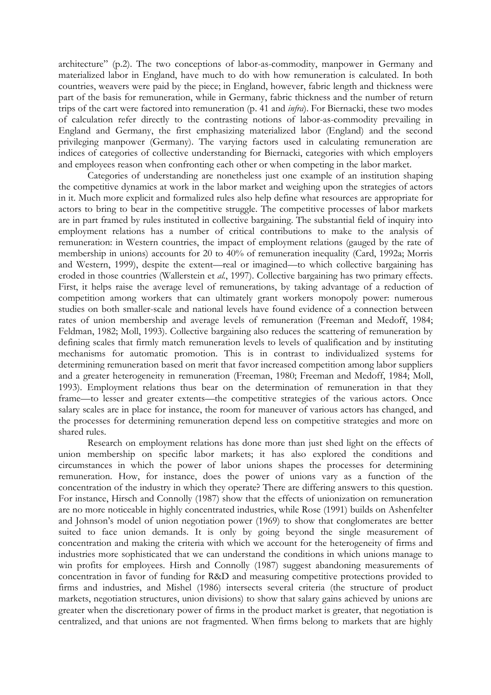architecture" (p.2). The two conceptions of labor-as-commodity, manpower in Germany and materialized labor in England, have much to do with how remuneration is calculated. In both countries, weavers were paid by the piece; in England, however, fabric length and thickness were part of the basis for remuneration, while in Germany, fabric thickness and the number of return trips of the cart were factored into remuneration (p. 41 and *infra*). For Biernacki, these two modes of calculation refer directly to the contrasting notions of labor-as-commodity prevailing in England and Germany, the first emphasizing materialized labor (England) and the second privileging manpower (Germany). The varying factors used in calculating remuneration are indices of categories of collective understanding for Biernacki, categories with which employers and employees reason when confronting each other or when competing in the labor market.

Categories of understanding are nonetheless just one example of an institution shaping the competitive dynamics at work in the labor market and weighing upon the strategies of actors in it. Much more explicit and formalized rules also help define what resources are appropriate for actors to bring to bear in the competitive struggle. The competitive processes of labor markets are in part framed by rules instituted in collective bargaining. The substantial field of inquiry into employment relations has a number of critical contributions to make to the analysis of remuneration: in Western countries, the impact of employment relations (gauged by the rate of membership in unions) accounts for 20 to 40% of remuneration inequality (Card, 1992a; Morris and Western, 1999), despite the extent—real or imagined—to which collective bargaining has eroded in those countries (Wallerstein et *al.*, 1997). Collective bargaining has two primary effects. First, it helps raise the average level of remunerations, by taking advantage of a reduction of competition among workers that can ultimately grant workers monopoly power: numerous studies on both smaller-scale and national levels have found evidence of a connection between rates of union membership and average levels of remuneration (Freeman and Medoff, 1984; Feldman, 1982; Moll, 1993). Collective bargaining also reduces the scattering of remuneration by defining scales that firmly match remuneration levels to levels of qualification and by instituting mechanisms for automatic promotion. This is in contrast to individualized systems for determining remuneration based on merit that favor increased competition among labor suppliers and a greater heterogeneity in remuneration (Freeman, 1980; Freeman and Medoff, 1984; Moll, 1993). Employment relations thus bear on the determination of remuneration in that they frame—to lesser and greater extents—the competitive strategies of the various actors. Once salary scales are in place for instance, the room for maneuver of various actors has changed, and the processes for determining remuneration depend less on competitive strategies and more on shared rules.

Research on employment relations has done more than just shed light on the effects of union membership on specific labor markets; it has also explored the conditions and circumstances in which the power of labor unions shapes the processes for determining remuneration. How, for instance, does the power of unions vary as a function of the concentration of the industry in which they operate? There are differing answers to this question. For instance, Hirsch and Connolly (1987) show that the effects of unionization on remuneration are no more noticeable in highly concentrated industries, while Rose (1991) builds on Ashenfelter and Johnson's model of union negotiation power (1969) to show that conglomerates are better suited to face union demands. It is only by going beyond the single measurement of concentration and making the criteria with which we account for the heterogeneity of firms and industries more sophisticated that we can understand the conditions in which unions manage to win profits for employees. Hirsh and Connolly (1987) suggest abandoning measurements of concentration in favor of funding for R&D and measuring competitive protections provided to firms and industries, and Mishel (1986) intersects several criteria (the structure of product markets, negotiation structures, union divisions) to show that salary gains achieved by unions are greater when the discretionary power of firms in the product market is greater, that negotiation is centralized, and that unions are not fragmented. When firms belong to markets that are highly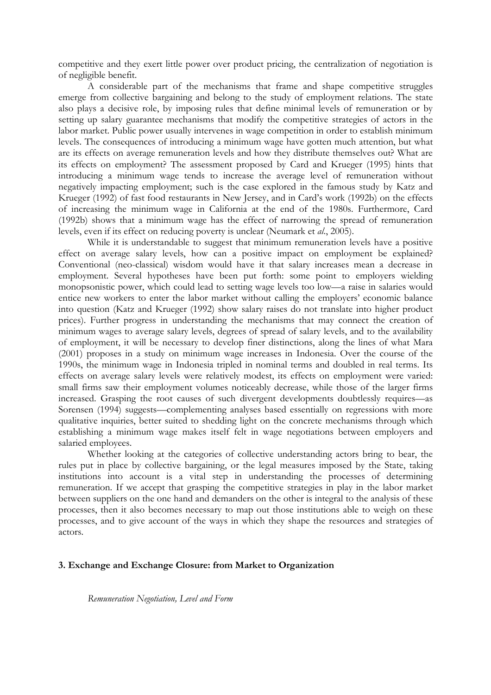competitive and they exert little power over product pricing, the centralization of negotiation is of negligible benefit.

A considerable part of the mechanisms that frame and shape competitive struggles emerge from collective bargaining and belong to the study of employment relations. The state also plays a decisive role, by imposing rules that define minimal levels of remuneration or by setting up salary guarantee mechanisms that modify the competitive strategies of actors in the labor market. Public power usually intervenes in wage competition in order to establish minimum levels. The consequences of introducing a minimum wage have gotten much attention, but what are its effects on average remuneration levels and how they distribute themselves out? What are its effects on employment? The assessment proposed by Card and Krueger (1995) hints that introducing a minimum wage tends to increase the average level of remuneration without negatively impacting employment; such is the case explored in the famous study by Katz and Krueger (1992) of fast food restaurants in New Jersey, and in Card's work (1992b) on the effects of increasing the minimum wage in California at the end of the 1980s. Furthermore, Card (1992b) shows that a minimum wage has the effect of narrowing the spread of remuneration levels, even if its effect on reducing poverty is unclear (Neumark et *al*., 2005).

While it is understandable to suggest that minimum remuneration levels have a positive effect on average salary levels, how can a positive impact on employment be explained? Conventional (neo-classical) wisdom would have it that salary increases mean a decrease in employment. Several hypotheses have been put forth: some point to employers wielding monopsonistic power, which could lead to setting wage levels too low—a raise in salaries would entice new workers to enter the labor market without calling the employers' economic balance into question (Katz and Krueger (1992) show salary raises do not translate into higher product prices). Further progress in understanding the mechanisms that may connect the creation of minimum wages to average salary levels, degrees of spread of salary levels, and to the availability of employment, it will be necessary to develop finer distinctions, along the lines of what Mara (2001) proposes in a study on minimum wage increases in Indonesia. Over the course of the 1990s, the minimum wage in Indonesia tripled in nominal terms and doubled in real terms. Its effects on average salary levels were relatively modest, its effects on employment were varied: small firms saw their employment volumes noticeably decrease, while those of the larger firms increased. Grasping the root causes of such divergent developments doubtlessly requires—as Sorensen (1994) suggests—complementing analyses based essentially on regressions with more qualitative inquiries, better suited to shedding light on the concrete mechanisms through which establishing a minimum wage makes itself felt in wage negotiations between employers and salaried employees.

Whether looking at the categories of collective understanding actors bring to bear, the rules put in place by collective bargaining, or the legal measures imposed by the State, taking institutions into account is a vital step in understanding the processes of determining remuneration. If we accept that grasping the competitive strategies in play in the labor market between suppliers on the one hand and demanders on the other is integral to the analysis of these processes, then it also becomes necessary to map out those institutions able to weigh on these processes, and to give account of the ways in which they shape the resources and strategies of actors.

# **3. Exchange and Exchange Closure: from Market to Organization**

*Remuneration Negotiation, Level and Form*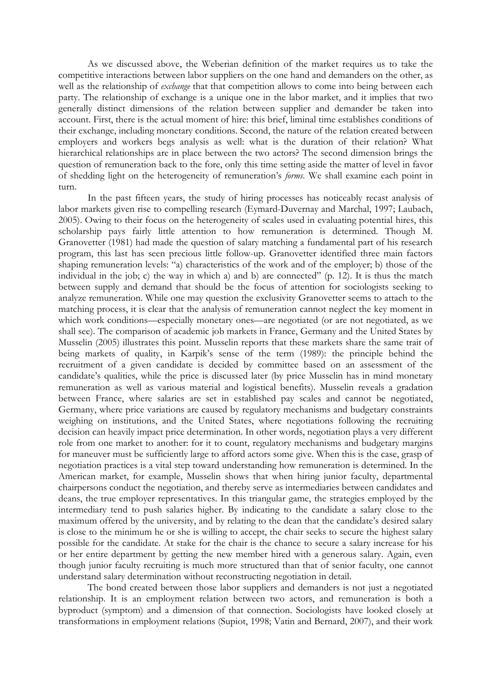As we discussed above, the Weberian definition of the market requires us to take the competitive interactions between labor suppliers on the one hand and demanders on the other, as well as the relationship of *exchange* that that competition allows to come into being between each party. The relationship of exchange is a unique one in the labor market, and it implies that two generally distinct dimensions of the relation between supplier and demander be taken into account. First, there is the actual moment of hire: this brief, liminal time establishes conditions of their exchange, including monetary conditions. Second, the nature of the relation created between employers and workers begs analysis as well: what is the duration of their relation? What hierarchical relationships are in place between the two actors? The second dimension brings the question of remuneration back to the fore, only this time setting aside the matter of level in favor of shedding light on the heterogeneity of remuneration's *forms*. We shall examine each point in turn.

In the past fifteen years, the study of hiring processes has noticeably recast analysis of labor markets given rise to compelling research (Eymard-Duvernay and Marchal, 1997; Laubach, 2005). Owing to their focus on the heterogeneity of scales used in evaluating potential hires, this scholarship pays fairly little attention to how remuneration is determined. Though M. Granovetter (1981) had made the question of salary matching a fundamental part of his research program, this last has seen precious little follow-up. Granovetter identified three main factors shaping remuneration levels: "a) characteristics of the work and of the employer; b) those of the individual in the job; c) the way in which a) and b) are connected" (p. 12). It is thus the match between supply and demand that should be the focus of attention for sociologists seeking to analyze remuneration. While one may question the exclusivity Granovetter seems to attach to the matching process, it is clear that the analysis of remuneration cannot neglect the key moment in which work conditions—especially monetary ones—are negotiated (or are not negotiated, as we shall see). The comparison of academic job markets in France, Germany and the United States by Musselin (2005) illustrates this point. Musselin reports that these markets share the same trait of being markets of quality, in Karpik's sense of the term (1989): the principle behind the recruitment of a given candidate is decided by committee based on an assessment of the candidate's qualities, while the price is discussed later (by price Musselin has in mind monetary remuneration as well as various material and logistical benefits). Musselin reveals a gradation between France, where salaries are set in established pay scales and cannot be negotiated, Germany, where price variations are caused by regulatory mechanisms and budgetary constraints weighing on institutions, and the United States, where negotiations following the recruiting decision can heavily impact price determination. In other words, negotiation plays a very different role from one market to another: for it to count, regulatory mechanisms and budgetary margins for maneuver must be sufficiently large to afford actors some give. When this is the case, grasp of negotiation practices is a vital step toward understanding how remuneration is determined. In the American market, for example, Musselin shows that when hiring junior faculty, departmental chairpersons conduct the negotiation, and thereby serve as intermediaries between candidates and deans, the true employer representatives. In this triangular game, the strategies employed by the intermediary tend to push salaries higher. By indicating to the candidate a salary close to the maximum offered by the university, and by relating to the dean that the candidate's desired salary is close to the minimum he or she is willing to accept, the chair seeks to secure the highest salary possible for the candidate. At stake for the chair is the chance to secure a salary increase for his or her entire department by getting the new member hired with a generous salary. Again, even though junior faculty recruiting is much more structured than that of senior faculty, one cannot understand salary determination without reconstructing negotiation in detail.

The bond created between those labor suppliers and demanders is not just a negotiated relationship. It is an employment relation between two actors, and remuneration is both a byproduct (symptom) and a dimension of that connection. Sociologists have looked closely at transformations in employment relations (Supiot, 1998; Vatin and Bernard, 2007), and their work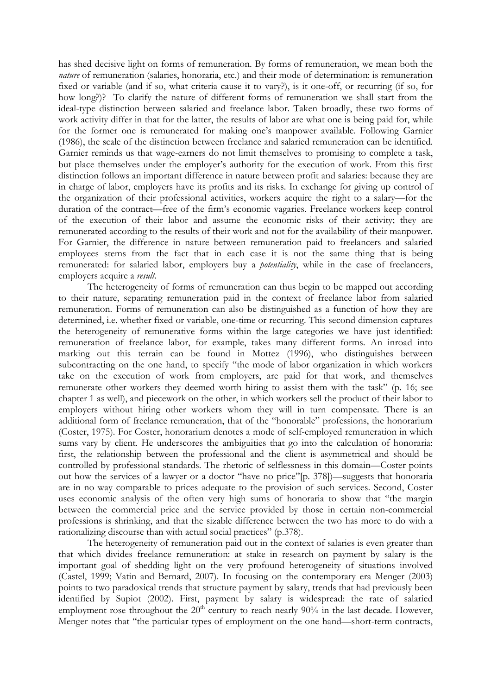has shed decisive light on forms of remuneration. By forms of remuneration, we mean both the *nature* of remuneration (salaries, honoraria, etc.) and their mode of determination: is remuneration fixed or variable (and if so, what criteria cause it to vary?), is it one-off, or recurring (if so, for how long?)? To clarify the nature of different forms of remuneration we shall start from the ideal-type distinction between salaried and freelance labor. Taken broadly, these two forms of work activity differ in that for the latter, the results of labor are what one is being paid for, while for the former one is remunerated for making one's manpower available. Following Garnier (1986), the scale of the distinction between freelance and salaried remuneration can be identified. Garnier reminds us that wage-earners do not limit themselves to promising to complete a task, but place themselves under the employer's authority for the execution of work. From this first distinction follows an important difference in nature between profit and salaries: because they are in charge of labor, employers have its profits and its risks. In exchange for giving up control of the organization of their professional activities, workers acquire the right to a salary—for the duration of the contract—free of the firm's economic vagaries. Freelance workers keep control of the execution of their labor and assume the economic risks of their activity; they are remunerated according to the results of their work and not for the availability of their manpower. For Garnier, the difference in nature between remuneration paid to freelancers and salaried employees stems from the fact that in each case it is not the same thing that is being remunerated: for salaried labor, employers buy a *potentiality*, while in the case of freelancers, employers acquire a *result*.

The heterogeneity of forms of remuneration can thus begin to be mapped out according to their nature, separating remuneration paid in the context of freelance labor from salaried remuneration. Forms of remuneration can also be distinguished as a function of how they are determined, i.e. whether fixed or variable, one-time or recurring. This second dimension captures the heterogeneity of remunerative forms within the large categories we have just identified: remuneration of freelance labor, for example, takes many different forms. An inroad into marking out this terrain can be found in Mottez (1996), who distinguishes between subcontracting on the one hand, to specify "the mode of labor organization in which workers take on the execution of work from employers, are paid for that work, and themselves remunerate other workers they deemed worth hiring to assist them with the task" (p. 16; see chapter 1 as well), and piecework on the other, in which workers sell the product of their labor to employers without hiring other workers whom they will in turn compensate. There is an additional form of freelance remuneration, that of the "honorable" professions, the honorarium (Coster, 1975). For Coster, honorarium denotes a mode of self-employed remuneration in which sums vary by client. He underscores the ambiguities that go into the calculation of honoraria: first, the relationship between the professional and the client is asymmetrical and should be controlled by professional standards. The rhetoric of selflessness in this domain—Coster points out how the services of a lawyer or a doctor "have no price"[p. 378])—suggests that honoraria are in no way comparable to prices adequate to the provision of such services. Second, Coster uses economic analysis of the often very high sums of honoraria to show that "the margin between the commercial price and the service provided by those in certain non-commercial professions is shrinking, and that the sizable difference between the two has more to do with a rationalizing discourse than with actual social practices" (p.378).

The heterogeneity of remuneration paid out in the context of salaries is even greater than that which divides freelance remuneration: at stake in research on payment by salary is the important goal of shedding light on the very profound heterogeneity of situations involved (Castel, 1999; Vatin and Bernard, 2007). In focusing on the contemporary era Menger (2003) points to two paradoxical trends that structure payment by salary, trends that had previously been identified by Supiot (2002). First, payment by salary is widespread: the rate of salaried employment rose throughout the  $20<sup>th</sup>$  century to reach nearly  $90\%$  in the last decade. However, Menger notes that "the particular types of employment on the one hand—short-term contracts,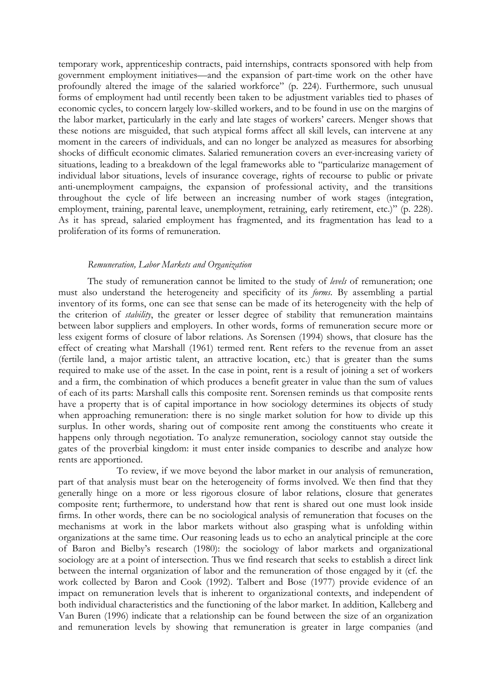temporary work, apprenticeship contracts, paid internships, contracts sponsored with help from government employment initiatives—and the expansion of part-time work on the other have profoundly altered the image of the salaried workforce" (p. 224). Furthermore, such unusual forms of employment had until recently been taken to be adjustment variables tied to phases of economic cycles, to concern largely low-skilled workers, and to be found in use on the margins of the labor market, particularly in the early and late stages of workers' careers. Menger shows that these notions are misguided, that such atypical forms affect all skill levels, can intervene at any moment in the careers of individuals, and can no longer be analyzed as measures for absorbing shocks of difficult economic climates. Salaried remuneration covers an ever-increasing variety of situations, leading to a breakdown of the legal frameworks able to "particularize management of individual labor situations, levels of insurance coverage, rights of recourse to public or private anti-unemployment campaigns, the expansion of professional activity, and the transitions throughout the cycle of life between an increasing number of work stages (integration, employment, training, parental leave, unemployment, retraining, early retirement, etc.)" (p. 228). As it has spread, salaried employment has fragmented, and its fragmentation has lead to a proliferation of its forms of remuneration.

# *Remuneration, Labor Markets and Organization*

The study of remuneration cannot be limited to the study of *levels* of remuneration; one must also understand the heterogeneity and specificity of its *forms*. By assembling a partial inventory of its forms, one can see that sense can be made of its heterogeneity with the help of the criterion of *stability*, the greater or lesser degree of stability that remuneration maintains between labor suppliers and employers. In other words, forms of remuneration secure more or less exigent forms of closure of labor relations. As Sorensen (1994) shows, that closure has the effect of creating what Marshall (1961) termed rent. Rent refers to the revenue from an asset (fertile land, a major artistic talent, an attractive location, etc.) that is greater than the sums required to make use of the asset. In the case in point, rent is a result of joining a set of workers and a firm, the combination of which produces a benefit greater in value than the sum of values of each of its parts: Marshall calls this composite rent. Sorensen reminds us that composite rents have a property that is of capital importance in how sociology determines its objects of study when approaching remuneration: there is no single market solution for how to divide up this surplus. In other words, sharing out of composite rent among the constituents who create it happens only through negotiation. To analyze remuneration, sociology cannot stay outside the gates of the proverbial kingdom: it must enter inside companies to describe and analyze how rents are apportioned.

 To review, if we move beyond the labor market in our analysis of remuneration, part of that analysis must bear on the heterogeneity of forms involved. We then find that they generally hinge on a more or less rigorous closure of labor relations, closure that generates composite rent; furthermore, to understand how that rent is shared out one must look inside firms. In other words, there can be no sociological analysis of remuneration that focuses on the mechanisms at work in the labor markets without also grasping what is unfolding within organizations at the same time. Our reasoning leads us to echo an analytical principle at the core of Baron and Bielby's research (1980): the sociology of labor markets and organizational sociology are at a point of intersection. Thus we find research that seeks to establish a direct link between the internal organization of labor and the remuneration of those engaged by it (cf. the work collected by Baron and Cook (1992). Talbert and Bose (1977) provide evidence of an impact on remuneration levels that is inherent to organizational contexts, and independent of both individual characteristics and the functioning of the labor market. In addition, Kalleberg and Van Buren (1996) indicate that a relationship can be found between the size of an organization and remuneration levels by showing that remuneration is greater in large companies (and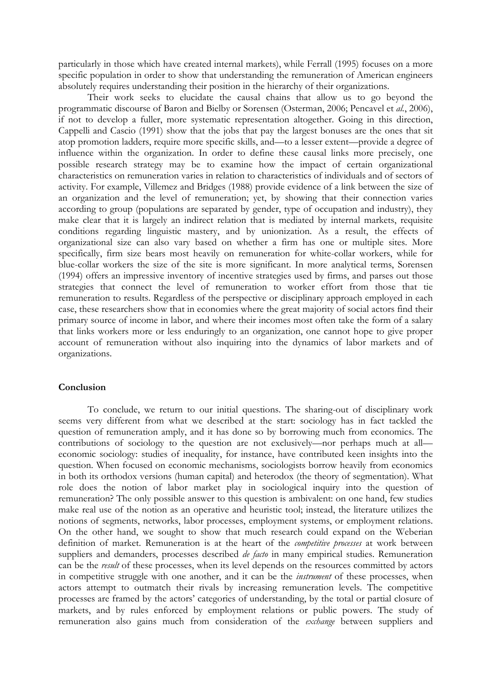particularly in those which have created internal markets), while Ferrall (1995) focuses on a more specific population in order to show that understanding the remuneration of American engineers absolutely requires understanding their position in the hierarchy of their organizations.

Their work seeks to elucidate the causal chains that allow us to go beyond the programmatic discourse of Baron and Bielby or Sorensen (Osterman, 2006; Pencavel et *al.*, 2006), if not to develop a fuller, more systematic representation altogether. Going in this direction, Cappelli and Cascio (1991) show that the jobs that pay the largest bonuses are the ones that sit atop promotion ladders, require more specific skills, and—to a lesser extent—provide a degree of influence within the organization. In order to define these causal links more precisely, one possible research strategy may be to examine how the impact of certain organizational characteristics on remuneration varies in relation to characteristics of individuals and of sectors of activity. For example, Villemez and Bridges (1988) provide evidence of a link between the size of an organization and the level of remuneration; yet, by showing that their connection varies according to group (populations are separated by gender, type of occupation and industry), they make clear that it is largely an indirect relation that is mediated by internal markets, requisite conditions regarding linguistic mastery, and by unionization. As a result, the effects of organizational size can also vary based on whether a firm has one or multiple sites. More specifically, firm size bears most heavily on remuneration for white-collar workers, while for blue-collar workers the size of the site is more significant. In more analytical terms, Sorensen (1994) offers an impressive inventory of incentive strategies used by firms, and parses out those strategies that connect the level of remuneration to worker effort from those that tie remuneration to results. Regardless of the perspective or disciplinary approach employed in each case, these researchers show that in economies where the great majority of social actors find their primary source of income in labor, and where their incomes most often take the form of a salary that links workers more or less enduringly to an organization, one cannot hope to give proper account of remuneration without also inquiring into the dynamics of labor markets and of organizations.

#### **Conclusion**

To conclude, we return to our initial questions. The sharing-out of disciplinary work seems very different from what we described at the start: sociology has in fact tackled the question of remuneration amply, and it has done so by borrowing much from economics. The contributions of sociology to the question are not exclusively—nor perhaps much at all economic sociology: studies of inequality, for instance, have contributed keen insights into the question. When focused on economic mechanisms, sociologists borrow heavily from economics in both its orthodox versions (human capital) and heterodox (the theory of segmentation). What role does the notion of labor market play in sociological inquiry into the question of remuneration? The only possible answer to this question is ambivalent: on one hand, few studies make real use of the notion as an operative and heuristic tool; instead, the literature utilizes the notions of segments, networks, labor processes, employment systems, or employment relations. On the other hand, we sought to show that much research could expand on the Weberian definition of market. Remuneration is at the heart of the *competitive processes* at work between suppliers and demanders, processes described *de facto* in many empirical studies. Remuneration can be the *result* of these processes, when its level depends on the resources committed by actors in competitive struggle with one another, and it can be the *instrument* of these processes, when actors attempt to outmatch their rivals by increasing remuneration levels. The competitive processes are framed by the actors' categories of understanding, by the total or partial closure of markets, and by rules enforced by employment relations or public powers. The study of remuneration also gains much from consideration of the *exchange* between suppliers and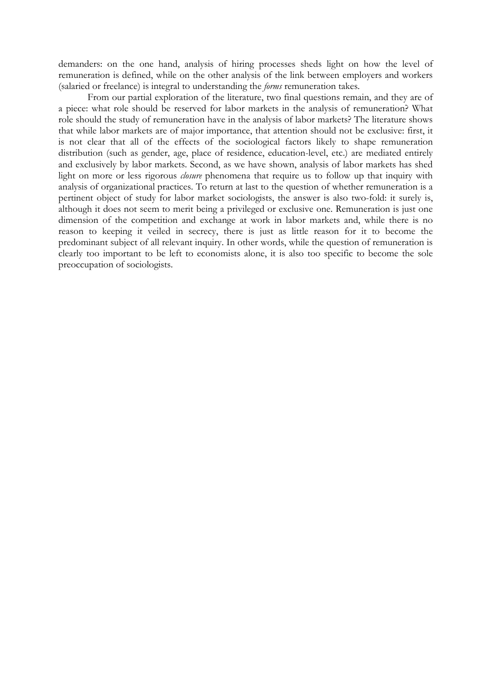demanders: on the one hand, analysis of hiring processes sheds light on how the level of remuneration is defined, while on the other analysis of the link between employers and workers (salaried or freelance) is integral to understanding the *forms* remuneration takes.

From our partial exploration of the literature, two final questions remain, and they are of a piece: what role should be reserved for labor markets in the analysis of remuneration? What role should the study of remuneration have in the analysis of labor markets? The literature shows that while labor markets are of major importance, that attention should not be exclusive: first, it is not clear that all of the effects of the sociological factors likely to shape remuneration distribution (such as gender, age, place of residence, education-level, etc.) are mediated entirely and exclusively by labor markets. Second, as we have shown, analysis of labor markets has shed light on more or less rigorous *closure* phenomena that require us to follow up that inquiry with analysis of organizational practices. To return at last to the question of whether remuneration is a pertinent object of study for labor market sociologists, the answer is also two-fold: it surely is, although it does not seem to merit being a privileged or exclusive one. Remuneration is just one dimension of the competition and exchange at work in labor markets and, while there is no reason to keeping it veiled in secrecy, there is just as little reason for it to become the predominant subject of all relevant inquiry. In other words, while the question of remuneration is clearly too important to be left to economists alone, it is also too specific to become the sole preoccupation of sociologists.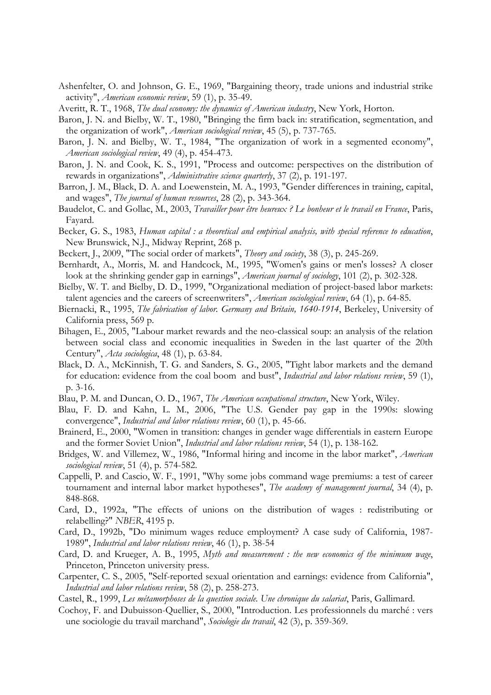- Ashenfelter, O. and Johnson, G. E., 1969, "Bargaining theory, trade unions and industrial strike activity", *American economic review*, 59 (1), p. 35-49.
- Averitt, R. T., 1968, *The dual economy: the dynamics of American industry*, New York, Horton.
- Baron, J. N. and Bielby, W. T., 1980, "Bringing the firm back in: stratification, segmentation, and the organization of work", *American sociological review*, 45 (5), p. 737-765.
- Baron, J. N. and Bielby, W. T., 1984, "The organization of work in a segmented economy", *American sociological review*, 49 (4), p. 454-473.
- Baron, J. N. and Cook, K. S., 1991, "Process and outcome: perspectives on the distribution of rewards in organizations", *Administrative science quarterly*, 37 (2), p. 191-197.
- Barron, J. M., Black, D. A. and Loewenstein, M. A., 1993, "Gender differences in training, capital, and wages", *The journal of human resources*, 28 (2), p. 343-364.
- Baudelot, C. and Gollac, M., 2003, *Travailler pour être heureux ? Le bonheur et le travail en France*, Paris, Fayard.
- Becker, G. S., 1983, *Human capital : a theoretical and empirical analysis, with special reference to education*, New Brunswick, N.J., Midway Reprint, 268 p.
- Beckert, J., 2009, "The social order of markets", *Theory and society*, 38 (3), p. 245-269.
- Bernhardt, A., Morris, M. and Handcock, M., 1995, "Women's gains or men's losses? A closer look at the shrinking gender gap in earnings", *American journal of sociology*, 101 (2), p. 302-328.
- Bielby, W. T. and Bielby, D. D., 1999, "Organizational mediation of project-based labor markets: talent agencies and the careers of screenwriters", *American sociological review*, 64 (1), p. 64-85.
- Biernacki, R., 1995, *The fabrication of labor. Germany and Britain, 1640-1914*, Berkeley, University of California press, 569 p.
- Bihagen, E., 2005, "Labour market rewards and the neo-classical soup: an analysis of the relation between social class and economic inequalities in Sweden in the last quarter of the 20th Century", *Acta sociologica*, 48 (1), p. 63-84.
- Black, D. A., McKinnish, T. G. and Sanders, S. G., 2005, "Tight labor markets and the demand for education: evidence from the coal boom and bust", *Industrial and labor relations review*, 59 (1), p. 3-16.
- Blau, P. M. and Duncan, O. D., 1967, *The American occupational structure*, New York, Wiley.
- Blau, F. D. and Kahn, L. M., 2006, "The U.S. Gender pay gap in the 1990s: slowing convergence", *Industrial and labor relations review*, 60 (1), p. 45-66.
- Brainerd, E., 2000, "Women in transition: changes in gender wage differentials in eastern Europe and the former Soviet Union", *Industrial and labor relations review*, 54 (1), p. 138-162.
- Bridges, W. and Villemez, W., 1986, "Informal hiring and income in the labor market", *American sociological review*, 51 (4), p. 574-582.
- Cappelli, P. and Cascio, W. F., 1991, "Why some jobs command wage premiums: a test of career tournament and internal labor market hypotheses", *The academy of management journal*, 34 (4), p. 848-868.
- Card, D., 1992a, "The effects of unions on the distribution of wages : redistributing or relabelling?" *NBER*, 4195 p.
- Card, D., 1992b, "Do minimum wages reduce employment? A case sudy of California, 1987- 1989", *Industrial and labor relations review*, 46 (1), p. 38-54
- Card, D. and Krueger, A. B., 1995, *Myth and measurement : the new economics of the minimum wage*, Princeton, Princeton university press.
- Carpenter, C. S., 2005, "Self-reported sexual orientation and earnings: evidence from California", *Industrial and labor relations review*, 58 (2), p. 258-273.
- Castel, R., 1999, *Les métamorphoses de la question sociale. Une chronique du salariat*, Paris, Gallimard.
- Cochoy, F. and Dubuisson-Quellier, S., 2000, "Introduction. Les professionnels du marché : vers une sociologie du travail marchand", *Sociologie du travail*, 42 (3), p. 359-369.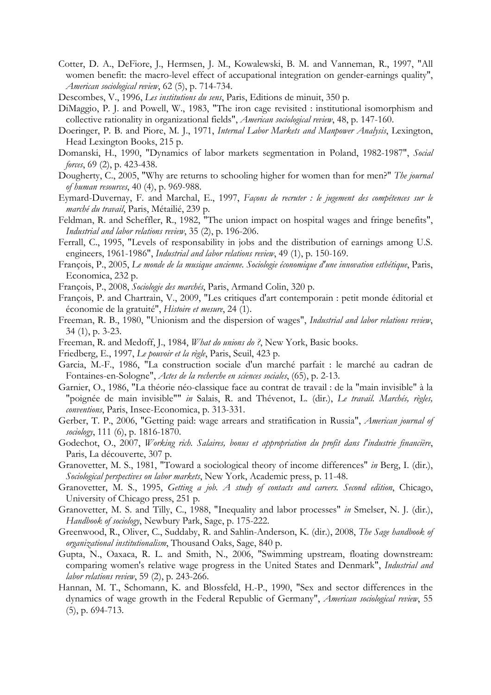- Cotter, D. A., DeFiore, J., Hermsen, J. M., Kowalewski, B. M. and Vanneman, R., 1997, "All women benefit: the macro-level effect of accupational integration on gender-earnings quality", *American sociological review*, 62 (5), p. 714-734.
- Descombes, V., 1996, *Les institutions du sens*, Paris, Editions de minuit, 350 p.
- DiMaggio, P. J. and Powell, W., 1983, "The iron cage revisited : institutional isomorphism and collective rationality in organizational fields", *American sociological review*, 48, p. 147-160.
- Doeringer, P. B. and Piore, M. J., 1971, *Internal Labor Markets and Manpower Analysis*, Lexington, Head Lexington Books, 215 p.
- Domanski, H., 1990, "Dynamics of labor markets segmentation in Poland, 1982-1987", *Social forces*, 69 (2), p. 423-438.
- Dougherty, C., 2005, "Why are returns to schooling higher for women than for men?" *The journal of human resources*, 40 (4), p. 969-988.
- Eymard-Duvernay, F. and Marchal, E., 1997, *Façons de recruter : le jugement des compétences sur le marché du travail*, Paris, Métailié, 239 p.
- Feldman, R. and Scheffler, R., 1982, "The union impact on hospital wages and fringe benefits", *Industrial and labor relations review*, 35 (2), p. 196-206.
- Ferrall, C., 1995, "Levels of responsability in jobs and the distribution of earnings among U.S. engineers, 1961-1986", *Industrial and labor relations review*, 49 (1), p. 150-169.
- François, P., 2005, *Le monde de la musique ancienne. Sociologie économique d'une innovation esthétique*, Paris, Economica, 232 p.
- François, P., 2008, *Sociologie des marchés*, Paris, Armand Colin, 320 p.
- François, P. and Chartrain, V., 2009, "Les critiques d'art contemporain : petit monde éditorial et économie de la gratuité", *Histoire et mesure*, 24 (1).
- Freeman, R. B., 1980, "Unionism and the dispersion of wages", *Industrial and labor relations review*, 34 (1), p. 3-23.
- Freeman, R. and Medoff, J., 1984, *What do unions do ?*, New York, Basic books.
- Friedberg, E., 1997, *Le pouvoir et la règle*, Paris, Seuil, 423 p.
- Garcia, M.-F., 1986, "La construction sociale d'un marché parfait : le marché au cadran de Fontaines-en-Sologne", *Actes de la recherche en sciences sociales*, (65), p. 2-13.
- Garnier, O., 1986, "La théorie néo-classique face au contrat de travail : de la "main invisible" à la "poignée de main invisible"" *in* Salais, R. and Thévenot, L. (dir.), *Le travail. Marchés, règles, conventions*, Paris, Insee-Economica, p. 313-331.
- Gerber, T. P., 2006, "Getting paid: wage arrears and stratification in Russia", *American journal of sociology*, 111 (6), p. 1816-1870.
- Godechot, O., 2007, *Working rich. Salaires, bonus et appropriation du profit dans l'industrie financière*, Paris, La découverte, 307 p.
- Granovetter, M. S., 1981, "Toward a sociological theory of income differences" *in* Berg, I. (dir.), *Sociological perspectives on labor markets*, New York, Academic press, p. 11-48.
- Granovetter, M. S., 1995, *Getting a job. A study of contacts and careers. Second edition*, Chicago, University of Chicago press, 251 p.
- Granovetter, M. S. and Tilly, C., 1988, "Inequality and labor processes" *in* Smelser, N. J. (dir.), *Handbook of sociology*, Newbury Park, Sage, p. 175-222.
- Greenwood, R., Oliver, C., Suddaby, R. and Sahlin-Anderson, K. (dir.), 2008, *The Sage handbook of organizational institutionalism*, Thousand Oaks, Sage, 840 p.
- Gupta, N., Oaxaca, R. L. and Smith, N., 2006, "Swimming upstream, floating downstream: comparing women's relative wage progress in the United States and Denmark", *Industrial and labor relations review*, 59 (2), p. 243-266.
- Hannan, M. T., Schomann, K. and Blossfeld, H.-P., 1990, "Sex and sector differences in the dynamics of wage growth in the Federal Republic of Germany", *American sociological review*, 55 (5), p. 694-713.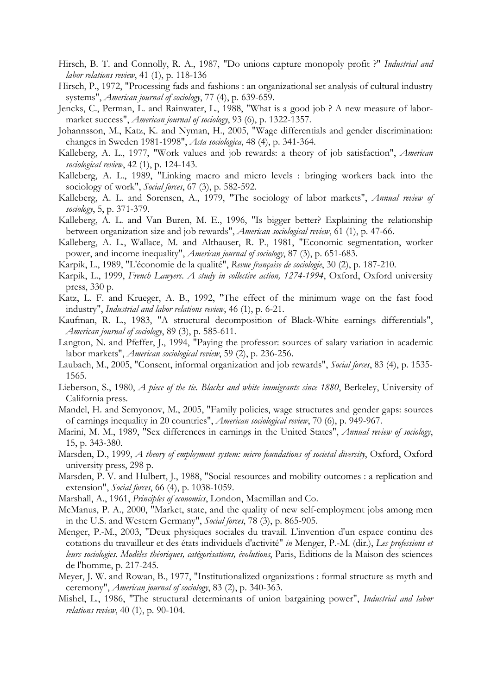- Hirsch, B. T. and Connolly, R. A., 1987, "Do unions capture monopoly profit ?" *Industrial and labor relations review*, 41 (1), p. 118-136
- Hirsch, P., 1972, "Processing fads and fashions : an organizational set analysis of cultural industry systems", *American journal of sociology*, 77 (4), p. 639-659.
- Jencks, C., Perman, L. and Rainwater, L., 1988, "What is a good job ? A new measure of labormarket success", *American journal of sociology*, 93 (6), p. 1322-1357.
- Johannsson, M., Katz, K. and Nyman, H., 2005, "Wage differentials and gender discrimination: changes in Sweden 1981-1998", *Acta sociologica*, 48 (4), p. 341-364.
- Kalleberg, A. L., 1977, "Work values and job rewards: a theory of job satisfaction", *American sociological review*, 42 (1), p. 124-143.
- Kalleberg, A. L., 1989, "Linking macro and micro levels : bringing workers back into the sociology of work", *Social forces*, 67 (3), p. 582-592.
- Kalleberg, A. L. and Sorensen, A., 1979, "The sociology of labor markets", *Annual review of sociology*, 5, p. 371-379.
- Kalleberg, A. L. and Van Buren, M. E., 1996, "Is bigger better? Explaining the relationship between organization size and job rewards", *American sociological review*, 61 (1), p. 47-66.
- Kalleberg, A. L., Wallace, M. and Althauser, R. P., 1981, "Economic segmentation, worker power, and income inequality", *American journal of sociology*, 87 (3), p. 651-683.
- Karpik, L., 1989, "L'économie de la qualité", *Revue française de sociologie*, 30 (2), p. 187-210.
- Karpik, L., 1999, *French Lawyers. A study in collective action, 1274-1994*, Oxford, Oxford university press, 330 p.
- Katz, L. F. and Krueger, A. B., 1992, "The effect of the minimum wage on the fast food industry", *Industrial and labor relations review*, 46 (1), p. 6-21.
- Kaufman, R. L., 1983, "A structural decomposition of Black-White earnings differentials", *American journal of sociology*, 89 (3), p. 585-611.
- Langton, N. and Pfeffer, J., 1994, "Paying the professor: sources of salary variation in academic labor markets", *American sociological review*, 59 (2), p. 236-256.
- Laubach, M., 2005, "Consent, informal organization and job rewards", *Social forces*, 83 (4), p. 1535- 1565.
- Lieberson, S., 1980, *A piece of the tie. Blacks and white immigrants since 1880*, Berkeley, University of California press.
- Mandel, H. and Semyonov, M., 2005, "Family policies, wage structures and gender gaps: sources of earnings inequality in 20 countries", *American sociological review*, 70 (6), p. 949-967.
- Marini, M. M., 1989, "Sex differences in earnings in the United States", *Annual review of sociology*, 15, p. 343-380.
- Marsden, D., 1999, *A theory of employment system: micro foundations of societal diversity*, Oxford, Oxford university press, 298 p.
- Marsden, P. V. and Hulbert, J., 1988, "Social resources and mobility outcomes : a replication and extension", *Social forces*, 66 (4), p. 1038-1059.
- Marshall, A., 1961, *Principles of economics*, London, Macmillan and Co.
- McManus, P. A., 2000, "Market, state, and the quality of new self-employment jobs among men in the U.S. and Western Germany", *Social forces*, 78 (3), p. 865-905.
- Menger, P.-M., 2003, "Deux physiques sociales du travail. L'invention d'un espace continu des cotations du travailleur et des états individuels d'activité" *in* Menger, P.-M. (dir.), *Les professions et leurs sociologies. Modèles théoriques, catégorisations, évolutions*, Paris, Editions de la Maison des sciences de l'homme, p. 217-245.
- Meyer, J. W. and Rowan, B., 1977, "Institutionalized organizations : formal structure as myth and ceremony", *American journal of sociology*, 83 (2), p. 340-363.
- Mishel, L., 1986, "The structural determinants of union bargaining power", *Industrial and labor relations review*, 40 (1), p. 90-104.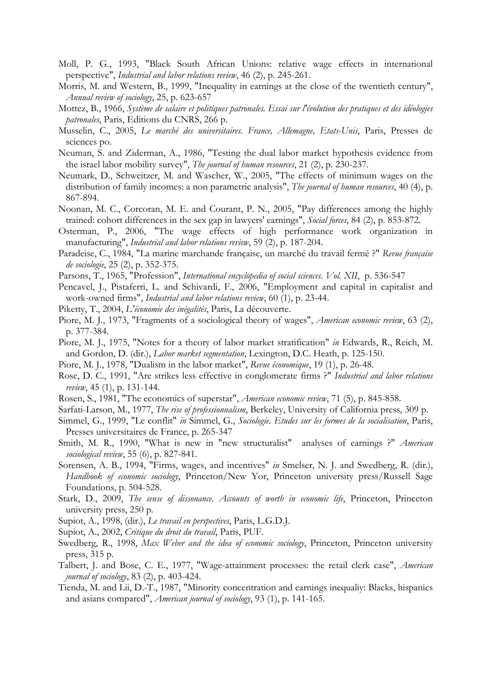- Moll, P. G., 1993, "Black South African Unions: relative wage effects in international perspective", *Industrial and labor relations review*, 46 (2), p. 245-261.
- Morris, M. and Western, B., 1999, "Inequality in earnings at the close of the twentieth century", *Annual review of sociology*, 25, p. 623-657
- Mottez, B., 1966, *Système de salaire et politiques patronales. Essai sur l'évolution des pratiques et des idéologies patronales*, Paris, Editions du CNRS, 266 p.
- Musselin, C., 2005, *Le marché des universitaires. France, Allemagne, Etats-Unis*, Paris, Presses de sciences po.
- Neuman, S. and Ziderman, A., 1986, "Testing the dual labor market hypothesis evidence from the israel labor mobility survey", *The journal of human resources*, 21 (2), p. 230-237.
- Neumark, D., Schweitzer, M. and Wascher, W., 2005, "The effects of minimum wages on the distribution of family incomes: a non parametric analysis", *The journal of human resources*, 40 (4), p. 867-894.
- Noonan, M. C., Corcoran, M. E. and Courant, P. N., 2005, "Pay differences among the highly trained: cohort differences in the sex gap in lawyers' earnings", *Social forces*, 84 (2), p. 853-872.
- Osterman, P., 2006, "The wage effects of high performance work organization in manufacturing", *Industrial and labor relations review*, 59 (2), p. 187-204.
- Paradeise, C., 1984, "La marine marchande française, un marché du travail fermé ?" *Revue française de sociologie*, 25 (2), p. 352-375.
- Parsons, T., 1965, "Profession", *International encyclopedia of social sciences*. *Vol. XII*, p. 536-547
- Pencavel, J., Pistaferri, L. and Schivardi, F., 2006, "Employment and capital in capitalist and work-owned firms", *Industrial and labor relations review*, 60 (1), p. 23-44.
- Piketty, T., 2004, *L'économie des inégalités*, Paris, La découverte.
- Piore, M. J., 1973, "Fragments of a sociological theory of wages", *American economic review*, 63 (2), p. 377-384.
- Piore, M. J., 1975, "Notes for a theory of labor market stratification" *in* Edwards, R., Reich, M. and Gordon, D. (dir.), *Labor market segmentation*, Lexington, D.C. Heath, p. 125-150.
- Piore, M. J., 1978, "Dualism in the labor market", *Revue économique*, 19 (1), p. 26-48.
- Rose, D. C., 1991, "Are strikes less effective in conglomerate firms ?" *Industrial and labor relations review*, 45 (1), p. 131-144.
- Rosen, S., 1981, "The economics of superstar", *American economic review*, 71 (5), p. 845-858.
- Sarfati-Larson, M., 1977, *The rise of professionnalism*, Berkeley, University of California press, 309 p.
- Simmel, G., 1999, "Le conflit" *in* Simmel, G., *Sociologie. Etudes sur les formes de la socialisation*, Paris, Presses universitaires de France, p. 265-347
- Smith, M. R., 1990, "What is new in "new structuralist" analyses of earnings ?" *American sociological review*, 55 (6), p. 827-841.
- Sorensen, A. B., 1994, "Firms, wages, and incentives" *in* Smelser, N. J. and Swedberg, R. (dir.), *Handbook of economic sociology*, Princeton/New Yor, Princeton university press/Russell Sage Foundations, p. 504-528.
- Stark, D., 2009, *The sense of dissonance. Accounts of worth in economic life*, Princeton, Princeton university press, 250 p.
- Supiot, A., 1998, (dir.), *Le travail en perspectives*, Paris, L.G.D.J.
- Supiot, A., 2002, *Critique du droit du travail*, Paris, PUF.
- Swedberg, R., 1998, *Max Weber and the idea of economic sociology*, Princeton, Princeton university press, 315 p.
- Talbert, J. and Bose, C. E., 1977, "Wage-attainment processes: the retail clerk case", *American journal of sociology*, 83 (2), p. 403-424.
- Tienda, M. and Lii, D.-T., 1987, "Minority concentration and earnings inequaliy: Blacks, hispanics and asians compared", *American journal of sociology*, 93 (1), p. 141-165.